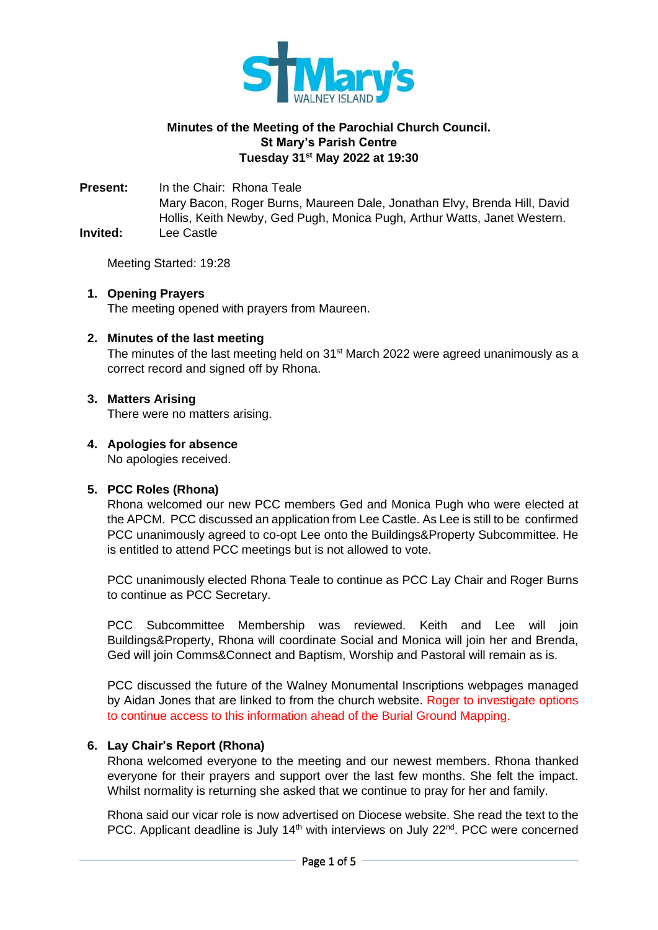

# **Minutes of the Meeting of the Parochial Church Council. St Mary's Parish Centre Tuesday 31 st May 2022 at 19:30**

**Present:** In the Chair: Rhona Teale Mary Bacon, Roger Burns, Maureen Dale, Jonathan Elvy, Brenda Hill, David Hollis, Keith Newby, Ged Pugh, Monica Pugh, Arthur Watts, Janet Western. **Invited:** Lee Castle

Meeting Started: 19:28

#### **1. Opening Prayers** The meeting opened with prayers from Maureen.

### **2. Minutes of the last meeting**

The minutes of the last meeting held on 31<sup>st</sup> March 2022 were agreed unanimously as a correct record and signed off by Rhona.

### **3. Matters Arising**

There were no matters arising.

# **4. Apologies for absence**

No apologies received.

# **5. PCC Roles (Rhona)**

Rhona welcomed our new PCC members Ged and Monica Pugh who were elected at the APCM. PCC discussed an application from Lee Castle. As Lee is still to be confirmed PCC unanimously agreed to co-opt Lee onto the Buildings&Property Subcommittee. He is entitled to attend PCC meetings but is not allowed to vote.

PCC unanimously elected Rhona Teale to continue as PCC Lay Chair and Roger Burns to continue as PCC Secretary.

PCC Subcommittee Membership was reviewed. Keith and Lee will join Buildings&Property, Rhona will coordinate Social and Monica will join her and Brenda, Ged will join Comms&Connect and Baptism, Worship and Pastoral will remain as is.

PCC discussed the future of the Walney Monumental Inscriptions webpages managed by Aidan Jones that are linked to from the church website. Roger to investigate options to continue access to this information ahead of the Burial Ground Mapping.

# **6. Lay Chair's Report (Rhona)**

Rhona welcomed everyone to the meeting and our newest members. Rhona thanked everyone for their prayers and support over the last few months. She felt the impact. Whilst normality is returning she asked that we continue to pray for her and family.

Rhona said our vicar role is now advertised on Diocese website. She read the text to the PCC. Applicant deadline is July 14<sup>th</sup> with interviews on July 22<sup>nd</sup>. PCC were concerned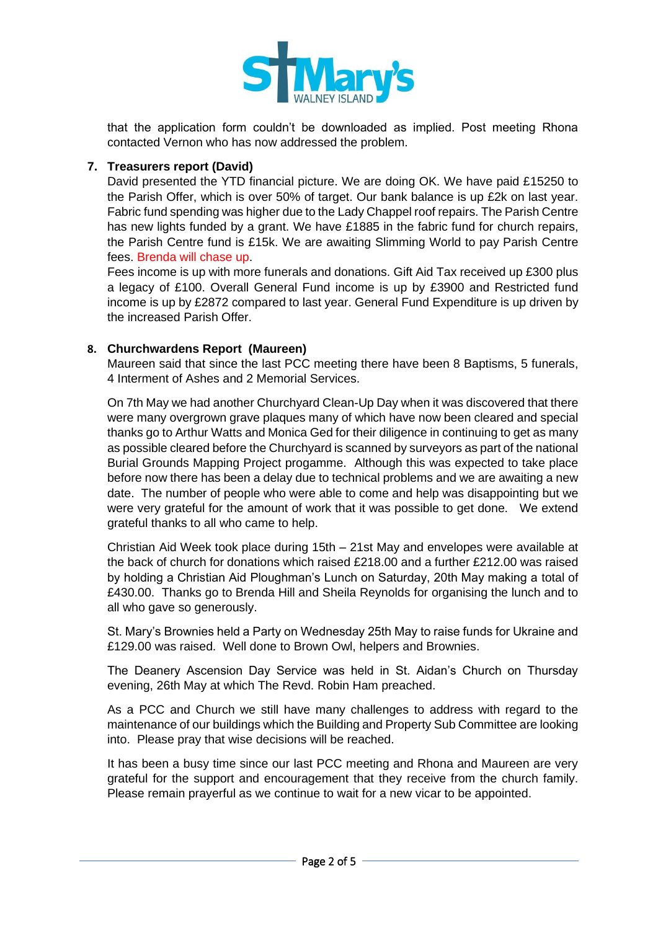

that the application form couldn't be downloaded as implied. Post meeting Rhona contacted Vernon who has now addressed the problem.

## **7. Treasurers report (David)**

David presented the YTD financial picture. We are doing OK. We have paid £15250 to the Parish Offer, which is over 50% of target. Our bank balance is up £2k on last year. Fabric fund spending was higher due to the Lady Chappel roof repairs. The Parish Centre has new lights funded by a grant. We have £1885 in the fabric fund for church repairs, the Parish Centre fund is £15k. We are awaiting Slimming World to pay Parish Centre fees. Brenda will chase up.

Fees income is up with more funerals and donations. Gift Aid Tax received up £300 plus a legacy of £100. Overall General Fund income is up by £3900 and Restricted fund income is up by £2872 compared to last year. General Fund Expenditure is up driven by the increased Parish Offer.

### **8. Churchwardens Report (Maureen)**

Maureen said that since the last PCC meeting there have been 8 Baptisms, 5 funerals, 4 Interment of Ashes and 2 Memorial Services.

On 7th May we had another Churchyard Clean-Up Day when it was discovered that there were many overgrown grave plaques many of which have now been cleared and special thanks go to Arthur Watts and Monica Ged for their diligence in continuing to get as many as possible cleared before the Churchyard is scanned by surveyors as part of the national Burial Grounds Mapping Project progamme. Although this was expected to take place before now there has been a delay due to technical problems and we are awaiting a new date. The number of people who were able to come and help was disappointing but we were very grateful for the amount of work that it was possible to get done. We extend grateful thanks to all who came to help.

Christian Aid Week took place during 15th – 21st May and envelopes were available at the back of church for donations which raised £218.00 and a further £212.00 was raised by holding a Christian Aid Ploughman's Lunch on Saturday, 20th May making a total of £430.00. Thanks go to Brenda Hill and Sheila Reynolds for organising the lunch and to all who gave so generously.

St. Mary's Brownies held a Party on Wednesday 25th May to raise funds for Ukraine and £129.00 was raised. Well done to Brown Owl, helpers and Brownies.

The Deanery Ascension Day Service was held in St. Aidan's Church on Thursday evening, 26th May at which The Revd. Robin Ham preached.

As a PCC and Church we still have many challenges to address with regard to the maintenance of our buildings which the Building and Property Sub Committee are looking into. Please pray that wise decisions will be reached.

It has been a busy time since our last PCC meeting and Rhona and Maureen are very grateful for the support and encouragement that they receive from the church family. Please remain prayerful as we continue to wait for a new vicar to be appointed.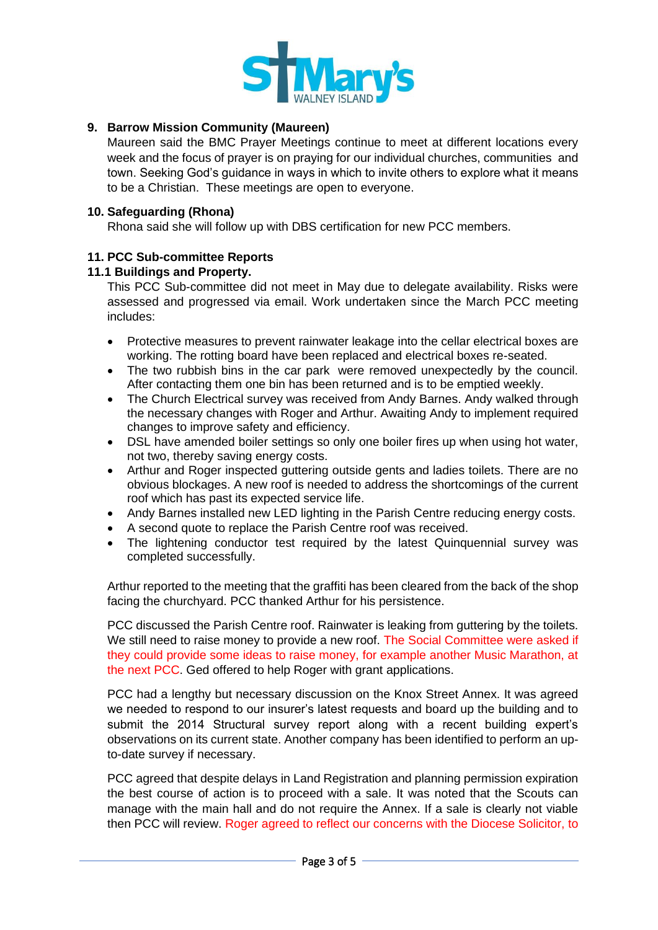

# **9. Barrow Mission Community (Maureen)**

Maureen said the BMC Prayer Meetings continue to meet at different locations every week and the focus of prayer is on praying for our individual churches, communities and town. Seeking God's guidance in ways in which to invite others to explore what it means to be a Christian. These meetings are open to everyone.

#### **10. Safeguarding (Rhona)**

Rhona said she will follow up with DBS certification for new PCC members.

### **11. PCC Sub-committee Reports**

### **11.1 Buildings and Property.**

This PCC Sub-committee did not meet in May due to delegate availability. Risks were assessed and progressed via email. Work undertaken since the March PCC meeting includes:

- Protective measures to prevent rainwater leakage into the cellar electrical boxes are working. The rotting board have been replaced and electrical boxes re-seated.
- The two rubbish bins in the car park were removed unexpectedly by the council. After contacting them one bin has been returned and is to be emptied weekly.
- The Church Electrical survey was received from Andy Barnes. Andy walked through the necessary changes with Roger and Arthur. Awaiting Andy to implement required changes to improve safety and efficiency.
- DSL have amended boiler settings so only one boiler fires up when using hot water, not two, thereby saving energy costs.
- Arthur and Roger inspected guttering outside gents and ladies toilets. There are no obvious blockages. A new roof is needed to address the shortcomings of the current roof which has past its expected service life.
- Andy Barnes installed new LED lighting in the Parish Centre reducing energy costs.
- A second quote to replace the Parish Centre roof was received.
- The lightening conductor test required by the latest Quinquennial survey was completed successfully.

Arthur reported to the meeting that the graffiti has been cleared from the back of the shop facing the churchyard. PCC thanked Arthur for his persistence.

PCC discussed the Parish Centre roof. Rainwater is leaking from guttering by the toilets. We still need to raise money to provide a new roof. The Social Committee were asked if they could provide some ideas to raise money, for example another Music Marathon, at the next PCC. Ged offered to help Roger with grant applications.

PCC had a lengthy but necessary discussion on the Knox Street Annex. It was agreed we needed to respond to our insurer's latest requests and board up the building and to submit the 2014 Structural survey report along with a recent building expert's observations on its current state. Another company has been identified to perform an upto-date survey if necessary.

PCC agreed that despite delays in Land Registration and planning permission expiration the best course of action is to proceed with a sale. It was noted that the Scouts can manage with the main hall and do not require the Annex. If a sale is clearly not viable then PCC will review. Roger agreed to reflect our concerns with the Diocese Solicitor, to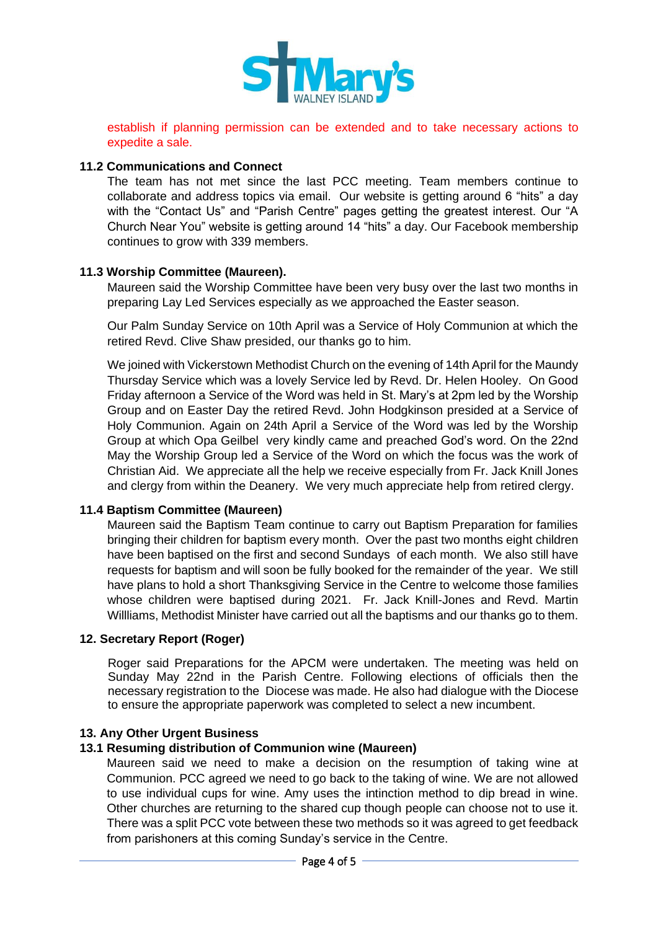

establish if planning permission can be extended and to take necessary actions to expedite a sale.

#### **11.2 Communications and Connect**

The team has not met since the last PCC meeting. Team members continue to collaborate and address topics via email. Our website is getting around 6 "hits" a day with the "Contact Us" and "Parish Centre" pages getting the greatest interest. Our "A Church Near You" website is getting around 14 "hits" a day. Our Facebook membership continues to grow with 339 members.

#### **11.3 Worship Committee (Maureen).**

Maureen said the Worship Committee have been very busy over the last two months in preparing Lay Led Services especially as we approached the Easter season.

Our Palm Sunday Service on 10th April was a Service of Holy Communion at which the retired Revd. Clive Shaw presided, our thanks go to him.

We joined with Vickerstown Methodist Church on the evening of 14th April for the Maundy Thursday Service which was a lovely Service led by Revd. Dr. Helen Hooley. On Good Friday afternoon a Service of the Word was held in St. Mary's at 2pm led by the Worship Group and on Easter Day the retired Revd. John Hodgkinson presided at a Service of Holy Communion. Again on 24th April a Service of the Word was led by the Worship Group at which Opa Geilbel very kindly came and preached God's word. On the 22nd May the Worship Group led a Service of the Word on which the focus was the work of Christian Aid. We appreciate all the help we receive especially from Fr. Jack Knill Jones and clergy from within the Deanery. We very much appreciate help from retired clergy.

#### **11.4 Baptism Committee (Maureen)**

Maureen said the Baptism Team continue to carry out Baptism Preparation for families bringing their children for baptism every month. Over the past two months eight children have been baptised on the first and second Sundays of each month. We also still have requests for baptism and will soon be fully booked for the remainder of the year. We still have plans to hold a short Thanksgiving Service in the Centre to welcome those families whose children were baptised during 2021. Fr. Jack Knill-Jones and Revd. Martin Willliams, Methodist Minister have carried out all the baptisms and our thanks go to them.

#### **12. Secretary Report (Roger)**

Roger said Preparations for the APCM were undertaken. The meeting was held on Sunday May 22nd in the Parish Centre. Following elections of officials then the necessary registration to the Diocese was made. He also had dialogue with the Diocese to ensure the appropriate paperwork was completed to select a new incumbent.

#### **13. Any Other Urgent Business**

#### **13.1 Resuming distribution of Communion wine (Maureen)**

Maureen said we need to make a decision on the resumption of taking wine at Communion. PCC agreed we need to go back to the taking of wine. We are not allowed to use individual cups for wine. Amy uses the intinction method to dip bread in wine. Other churches are returning to the shared cup though people can choose not to use it. There was a split PCC vote between these two methods so it was agreed to get feedback from parishoners at this coming Sunday's service in the Centre.